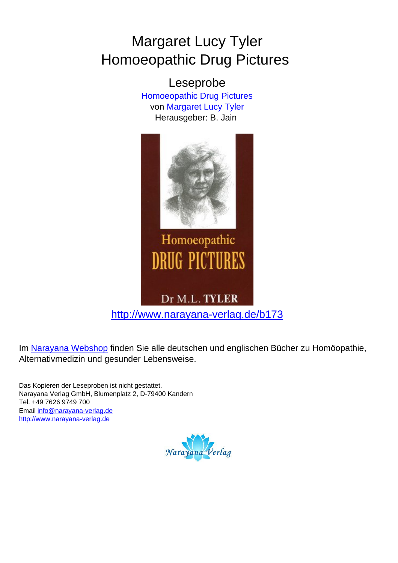## Margaret Lucy Tyler Homoeopathic Drug Pictures

Leseprobe [Homoeopathic Drug Pictures](http://www.narayana-verlag.de/Homoeopathic-Drug-Pictures-Margaret-Lucy-Tyler/b173/partner/leseprobe) von [Margaret Lucy Tyler](http://www.narayana-verlag.de/Margaret-Lucy-Tyler/a900/partner/leseprobe) Herausgeber: B. Jain



## Homoeopathic **DRUG PICTURES**

## Dr M.L. TYLER

[http://www.narayana-verlag.de/b173](http://www.narayana-verlag.de/Homoeopathic-Drug-Pictures-Margaret-Lucy-Tyler/b173/partner/leseprobe)

Im [Narayana Webshop](http://www.narayana-verlag.de/partner/leseprobe) finden Sie alle deutschen und englischen Bücher zu Homöopathie, Alternativmedizin und gesunder Lebensweise.

Das Kopieren der Leseproben ist nicht gestattet. Narayana Verlag GmbH, Blumenplatz 2, D-79400 Kandern Tel. +49 7626 9749 700 Email [info@narayana-verlag.de](mailto:info@narayana-verlag.de) [http://www.narayana-verlag.de](http://www.narayana-verlag.de/partner/leseprobe)

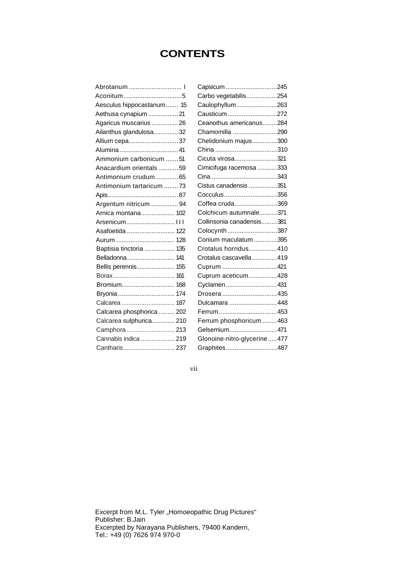## **CONTENTS**

| Aconitum5                 |  |
|---------------------------|--|
| Aesculus hippocastanum 15 |  |
| Aethusa cynapium  21      |  |
| Agaricus muscarius  26    |  |
| Ailanthus glandulosa 32   |  |
| Allium cepa37             |  |
|                           |  |
| Ammonium carbonicum 51    |  |
| Anacardium orientals 59   |  |
| Antimonium crudum 65      |  |
| Antimonium tartaricum 73  |  |
|                           |  |
| Argentum nitricum 94      |  |
| Arnica montana 102        |  |
| Arsenicum  III            |  |
| Asafoetida  122           |  |
| Aurum  128                |  |
| Baptisia tinctoria  135   |  |
| Belladonna 141            |  |
| Bellis perennis  155      |  |
|                           |  |
| Bromium 168               |  |
| Bryonia  174              |  |
| Calcarea  187             |  |
| Calcarea phosphorica  202 |  |
| Calcarea sulphurica 210   |  |
| Camphora  213             |  |
| Cannabis indica  219      |  |
| Cantharis 237             |  |
|                           |  |

| Capsicum 245                |  |
|-----------------------------|--|
| Carbo vegetabilis 254       |  |
| Caulophyllum263             |  |
| Causticum272                |  |
| Ceanothus americanus284     |  |
| Chamomilla 290              |  |
| Chelidonium majus300        |  |
| China 310                   |  |
| Cicuta virosa321            |  |
| Cimicifuga racemosa 333     |  |
|                             |  |
| Cistus canadensis 351       |  |
| Cocculus356                 |  |
| Coffea cruda369             |  |
| Colchicum autumnale371      |  |
| Collinsonia canadensis381   |  |
| Colocynth 387               |  |
| Conium maculatum 395        |  |
| Crotalus horridus410        |  |
| Crotalus cascavella 419     |  |
| Cuprum 421                  |  |
| Cuprum aceticum428          |  |
| Cyclamen431                 |  |
| Drosera 435                 |  |
| Dulcamara 448               |  |
| Ferrum453                   |  |
| Ferrum phosphoricum 463     |  |
| Gelsemium471                |  |
| Glonoine-nitro-glycerine477 |  |
| Graphites487                |  |

vii

Excerpt from M.L. Tyler "Homoeopathic Drug Pictures" Publisher: B.Jain Excerpted by Narayana Publishers, 79400 Kandern, Tel.: +49 (0) 7626 974 970-0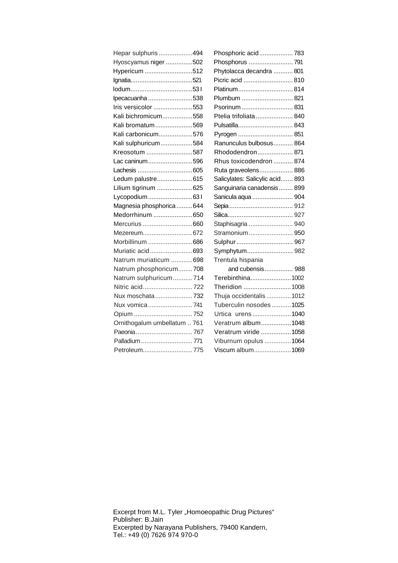| Hepar sulphuris494           | Phosphoric acid 783             |  |
|------------------------------|---------------------------------|--|
| Hyoscyamus niger 502         | Phosphorus 791                  |  |
| Hypericum 512                | Phytolacca decandra  801        |  |
|                              | Picric acid  810                |  |
|                              | Platinum 814                    |  |
| Ipecacuanha 538              | Plumbum  821                    |  |
| Iris versicolor 553          | Psorinum  831                   |  |
| Kali bichromicum558          | Ptelia trifoliata  840          |  |
| Kali bromatum569             |                                 |  |
| Kali carbonicum576           |                                 |  |
| Kali sulphuricum584          | Ranunculus bulbosus 864         |  |
| Kreosotum 587                | Rhododendron 871                |  |
| Lac caninum596               | Rhus toxicodendron  874         |  |
|                              | Ruta graveolens 886             |  |
| Ledum palustre615            | Salicylates: Salicylic acid 893 |  |
| Lilium tigrinum  625         | Sanguinaria canadensis 899      |  |
| Lycopodium631                | Sanicula aqua  904              |  |
| Magnesia phosphorica  644    |                                 |  |
| Medorrhinum 650              |                                 |  |
| Mercurius 660                | Staphisagria  940               |  |
| Mezereum672                  | Stramonium 950                  |  |
| Morbillinum 686              | Sulphur  967                    |  |
| Muriatic acid693             | Symphytum 982                   |  |
| Natrum muriaticum 698        | Trentula hispania               |  |
| Natrum phosphoricum708       | and cubensis 988                |  |
| Natrum sulphuricum714        | Terebinthina1002                |  |
|                              | Theridion 1008                  |  |
| Nux moschata 732             | Thuja occidentalis  1012        |  |
| Nux vomica  741              | Tuberculin nosodes  1025        |  |
|                              | Urtica urens1040                |  |
| Ornithogalum umbellatum  761 | Veratrum album1048              |  |
|                              | Veratrum viride 1058            |  |
| Palladium  771               | Viburnum opulus 1064            |  |
| Petroleum775                 | Viscum album1069                |  |
|                              |                                 |  |

Excerpt from M.L. Tyler "Homoeopathic Drug Pictures" Publisher: B.Jain Excerpted by Narayana Publishers, 79400 Kandern, Tel.: +49 (0) 7626 974 970-0